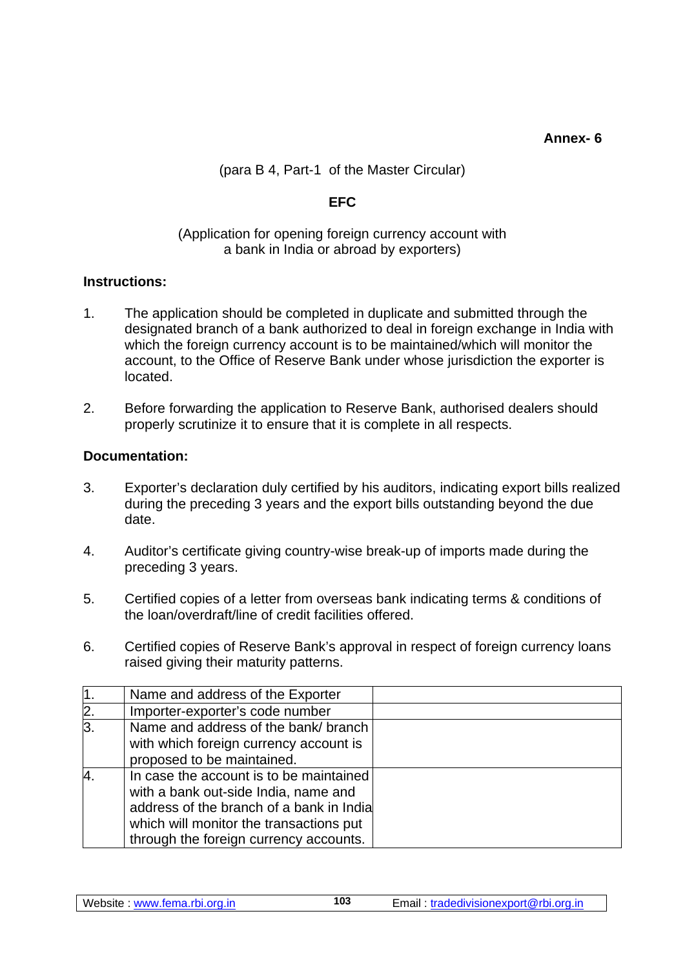**Annex- 6** 

(para B 4, Part-1 of the Master Circular)

## **EFC**

## (Application for opening foreign currency account with a bank in India or abroad by exporters)

## **Instructions:**

- 1. The application should be completed in duplicate and submitted through the designated branch of a bank authorized to deal in foreign exchange in India with which the foreign currency account is to be maintained/which will monitor the account, to the Office of Reserve Bank under whose jurisdiction the exporter is located.
- 2. Before forwarding the application to Reserve Bank, authorised dealers should properly scrutinize it to ensure that it is complete in all respects.

## **Documentation:**

- 3. Exporter's declaration duly certified by his auditors, indicating export bills realized during the preceding 3 years and the export bills outstanding beyond the due date.
- 4. Auditor's certificate giving country-wise break-up of imports made during the preceding 3 years.
- 5. Certified copies of a letter from overseas bank indicating terms & conditions of the loan/overdraft/line of credit facilities offered.
- 6. Certified copies of Reserve Bank's approval in respect of foreign currency loans raised giving their maturity patterns.

| 11.            | Name and address of the Exporter                                                                                                                                                                                 |  |
|----------------|------------------------------------------------------------------------------------------------------------------------------------------------------------------------------------------------------------------|--|
| $\mathsf{2}.$  | Importer-exporter's code number                                                                                                                                                                                  |  |
| $\overline{3}$ | Name and address of the bank/ branch<br>with which foreign currency account is<br>proposed to be maintained.                                                                                                     |  |
| $\overline{A}$ | In case the account is to be maintained<br>with a bank out-side India, name and<br>address of the branch of a bank in India<br>which will monitor the transactions put<br>through the foreign currency accounts. |  |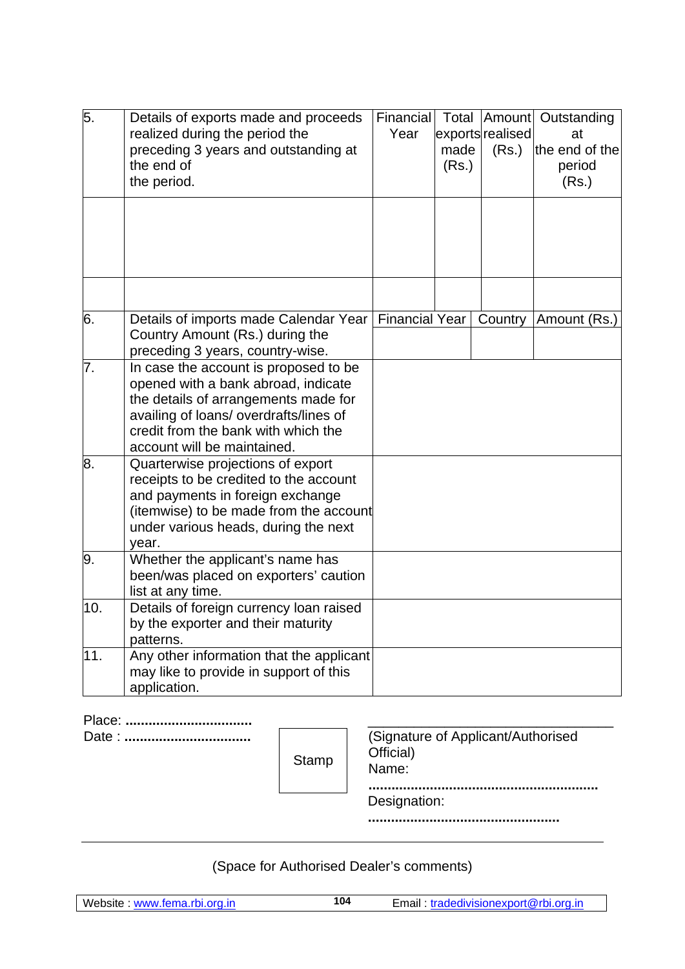| 5.  | Details of exports made and proceeds<br>realized during the period the<br>preceding 3 years and outstanding at<br>the end of<br>the period.                                                                                          | Financial<br>Year     | Total<br>made<br>(Rs.) | exportsrealised<br>(Rs.) | Amount Outstanding<br>at<br>the end of the<br>period<br>(Rs.) |
|-----|--------------------------------------------------------------------------------------------------------------------------------------------------------------------------------------------------------------------------------------|-----------------------|------------------------|--------------------------|---------------------------------------------------------------|
|     |                                                                                                                                                                                                                                      |                       |                        |                          |                                                               |
| 6.  | Details of imports made Calendar Year<br>Country Amount (Rs.) during the<br>preceding 3 years, country-wise.                                                                                                                         | <b>Financial Year</b> |                        | Country                  | Amount (Rs.)                                                  |
| 7.  | In case the account is proposed to be<br>opened with a bank abroad, indicate<br>the details of arrangements made for<br>availing of loans/ overdrafts/lines of<br>credit from the bank with which the<br>account will be maintained. |                       |                        |                          |                                                               |
| 8.  | Quarterwise projections of export<br>receipts to be credited to the account<br>and payments in foreign exchange<br>(itemwise) to be made from the account<br>under various heads, during the next<br>year.                           |                       |                        |                          |                                                               |
| 9.  | Whether the applicant's name has<br>been/was placed on exporters' caution<br>list at any time.                                                                                                                                       |                       |                        |                          |                                                               |
| 10. | Details of foreign currency loan raised<br>by the exporter and their maturity<br>patterns.                                                                                                                                           |                       |                        |                          |                                                               |
| 11. | Any other information that the applicant<br>may like to provide in support of this<br>application.                                                                                                                                   |                       |                        |                          |                                                               |

Date : **.................................** (Signature of Applicant/Authorised Stamp | Official)<br>Name:

**............................................................** Designation:

**..................................................**

(Space for Authorised Dealer's comments)

Website : www.fema.rbi.org.in 104 Email : tradedivisionexport@rbi.org.in